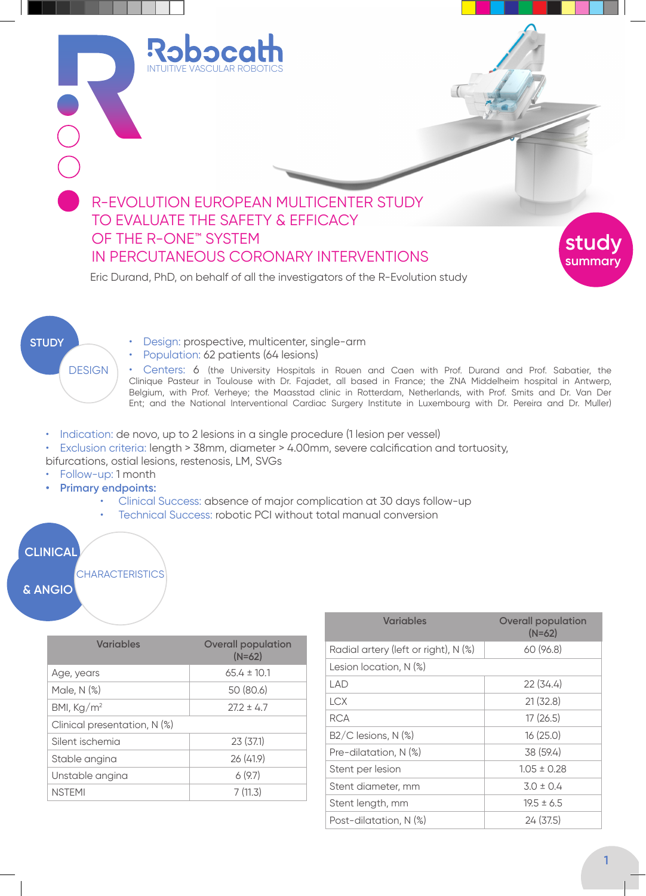